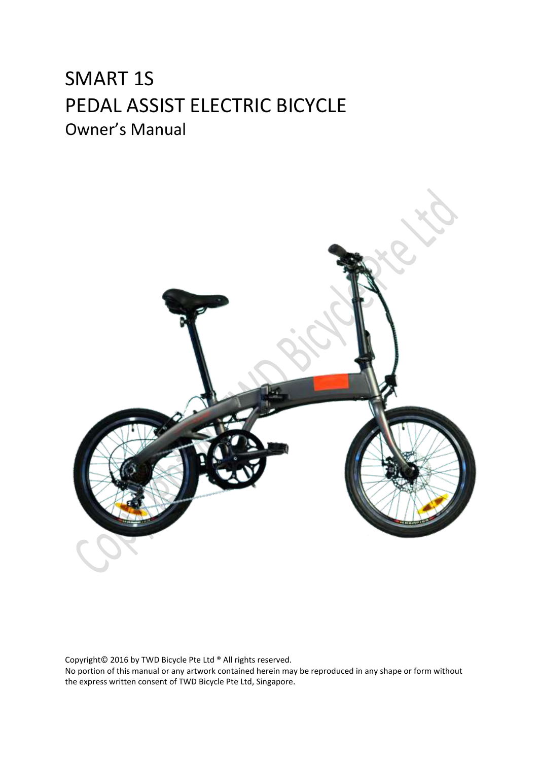# SMART 1S PEDAL ASSIST ELECTRIC BICYCLE Owner's Manual



Copyright© 2016 by TWD Bicycle Pte Ltd ® All rights reserved. No portion of this manual or any artwork contained herein may be reproduced in any shape or form without the express written consent of TWD Bicycle Pte Ltd, Singapore.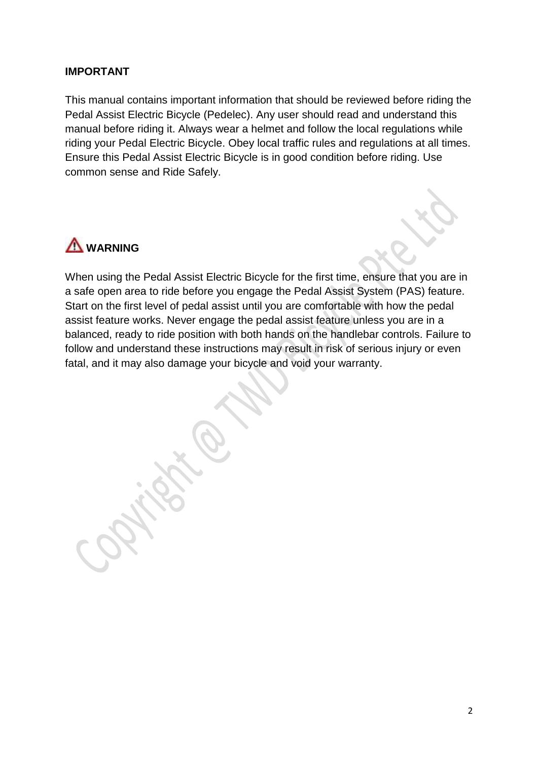#### **IMPORTANT**

This manual contains important information that should be reviewed before riding the Pedal Assist Electric Bicycle (Pedelec). Any user should read and understand this manual before riding it. Always wear a helmet and follow the local regulations while riding your Pedal Electric Bicycle. Obey local traffic rules and regulations at all times. Ensure this Pedal Assist Electric Bicycle is in good condition before riding. Use common sense and Ride Safely.



When using the Pedal Assist Electric Bicycle for the first time, ensure that you are in a safe open area to ride before you engage the Pedal Assist System (PAS) feature. Start on the first level of pedal assist until you are comfortable with how the pedal assist feature works. Never engage the pedal assist feature unless you are in a balanced, ready to ride position with both hands on the handlebar controls. Failure to follow and understand these instructions may result in risk of serious injury or even fatal, and it may also damage your bicycle and void your warranty.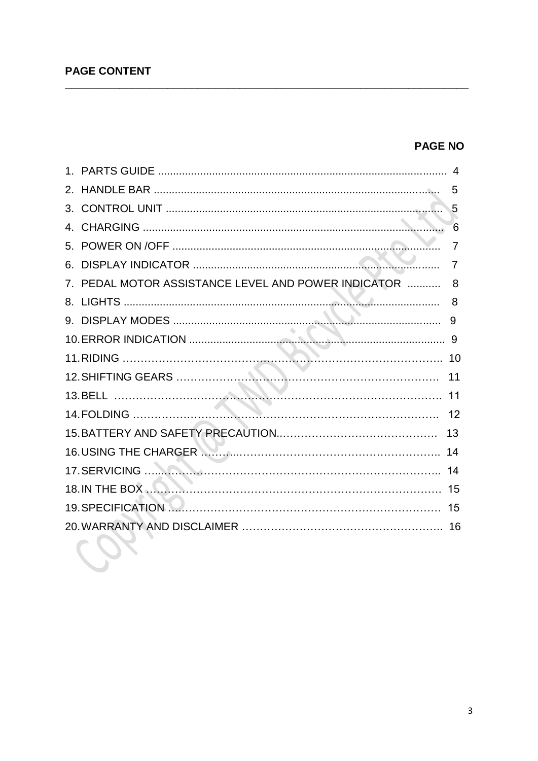# **PAGE CONTENT**

# **PAGE NO**

|                                                     | 5              |
|-----------------------------------------------------|----------------|
|                                                     | $\sqrt{5}$     |
|                                                     | 6              |
|                                                     | $\overline{7}$ |
|                                                     | $\overline{7}$ |
| 7. PEDAL MOTOR ASSISTANCE LEVEL AND POWER INDICATOR | 8              |
|                                                     |                |
|                                                     | 9              |
|                                                     |                |
|                                                     |                |
|                                                     |                |
|                                                     |                |
|                                                     |                |
|                                                     |                |
|                                                     |                |
|                                                     |                |
|                                                     |                |
|                                                     |                |
|                                                     |                |
|                                                     |                |
|                                                     |                |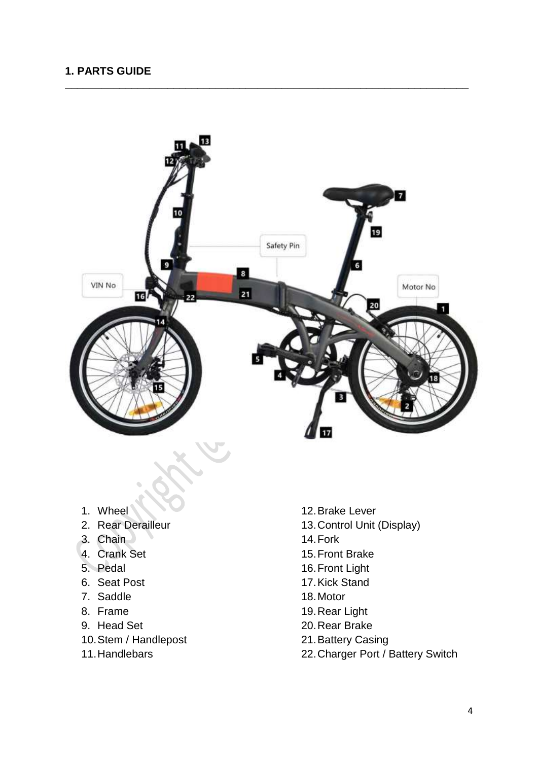## **1. PARTS GUIDE**



**\_\_\_\_\_\_\_\_\_\_\_\_\_\_\_\_\_\_\_\_\_\_\_\_\_\_\_\_\_\_\_\_\_\_\_\_\_\_\_\_\_\_\_\_\_\_\_\_\_\_\_\_\_\_\_\_\_\_\_\_\_\_\_\_\_\_\_**

- 1. Wheel
- 2. Rear Derailleur
- 3. Chain
- 4. Crank Set
- 5. Pedal
- 6. Seat Post
- 7. Saddle
- 8. Frame
- 9. Head Set
- 10.Stem / Handlepost
- 11.Handlebars
- 12.Brake Lever
- 13.Control Unit (Display)
- 14.Fork
- 15.Front Brake
- 16.Front Light
- 17.Kick Stand
- 18.Motor
- 19.Rear Light
- 20.Rear Brake
- 21.Battery Casing
- 22.Charger Port / Battery Switch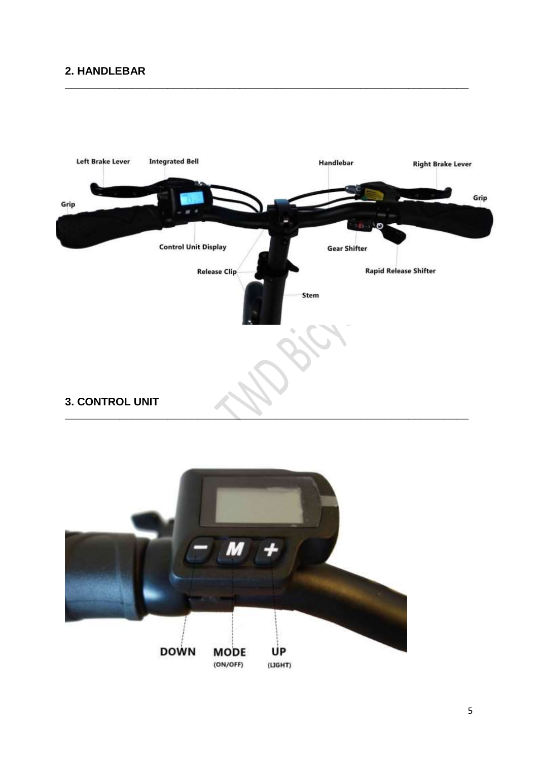# 2. HANDLEBAR





5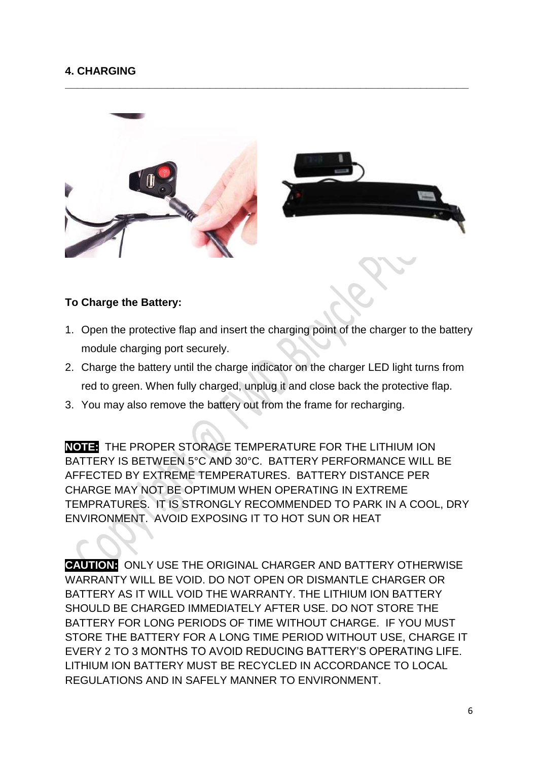# **4. CHARGING**



**\_\_\_\_\_\_\_\_\_\_\_\_\_\_\_\_\_\_\_\_\_\_\_\_\_\_\_\_\_\_\_\_\_\_\_\_\_\_\_\_\_\_\_\_\_\_\_\_\_\_\_\_\_\_\_\_\_\_\_\_\_\_\_\_\_\_\_**

#### **To Charge the Battery:**

- 1. Open the protective flap and insert the charging point of the charger to the battery module charging port securely.
- 2. Charge the battery until the charge indicator on the charger LED light turns from red to green. When fully charged, unplug it and close back the protective flap.
- 3. You may also remove the battery out from the frame for recharging.

**NOTE:** THE PROPER STORAGE TEMPERATURE FOR THE LITHIUM ION BATTERY IS BETWEEN 5°C AND 30°C. BATTERY PERFORMANCE WILL BE AFFECTED BY EXTREME TEMPERATURES. BATTERY DISTANCE PER CHARGE MAY NOT BE OPTIMUM WHEN OPERATING IN EXTREME TEMPRATURES. IT IS STRONGLY RECOMMENDED TO PARK IN A COOL, DRY ENVIRONMENT. AVOID EXPOSING IT TO HOT SUN OR HEAT

**CAUTION:** ONLY USE THE ORIGINAL CHARGER AND BATTERY OTHERWISE WARRANTY WILL BE VOID. DO NOT OPEN OR DISMANTLE CHARGER OR BATTERY AS IT WILL VOID THE WARRANTY. THE LITHIUM ION BATTERY SHOULD BE CHARGED IMMEDIATELY AFTER USE. DO NOT STORE THE BATTERY FOR LONG PERIODS OF TIME WITHOUT CHARGE. IF YOU MUST STORE THE BATTERY FOR A LONG TIME PERIOD WITHOUT USE, CHARGE IT EVERY 2 TO 3 MONTHS TO AVOID REDUCING BATTERY'S OPERATING LIFE. LITHIUM ION BATTERY MUST BE RECYCLED IN ACCORDANCE TO LOCAL REGULATIONS AND IN SAFELY MANNER TO ENVIRONMENT.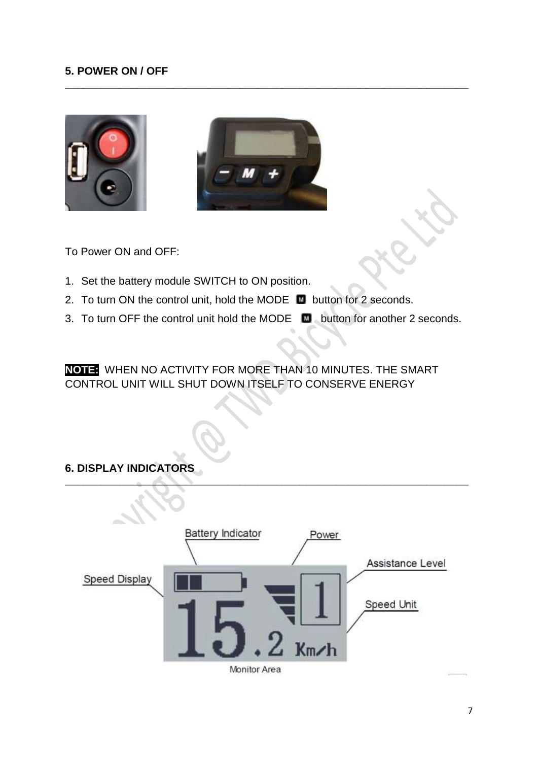## **5. POWER ON / OFF**





**\_\_\_\_\_\_\_\_\_\_\_\_\_\_\_\_\_\_\_\_\_\_\_\_\_\_\_\_\_\_\_\_\_\_\_\_\_\_\_\_\_\_\_\_\_\_\_\_\_\_\_\_\_\_\_\_\_\_\_\_\_\_\_\_\_\_\_**

To Power ON and OFF:

- 1. Set the battery module SWITCH to ON position.
- 2. To turn ON the control unit, hold the MODE  $\Box$  button for 2 seconds.
- 3. To turn OFF the control unit hold the MODE **button for another 2 seconds.**

**NOTE:** WHEN NO ACTIVITY FOR MORE THAN 10 MINUTES. THE SMART CONTROL UNIT WILL SHUT DOWN ITSELF TO CONSERVE ENERGY

## **6. DISPLAY INDICATORS**

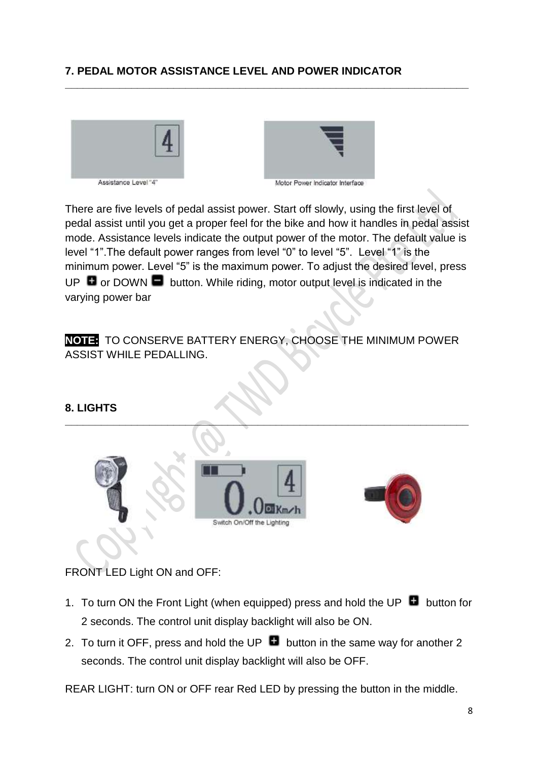# **7. PEDAL MOTOR ASSISTANCE LEVEL AND POWER INDICATOR**





There are five levels of pedal assist power. Start off slowly, using the first level of pedal assist until you get a proper feel for the bike and how it handles in pedal assist mode. Assistance levels indicate the output power of the motor. The default value is level "1".The default power ranges from level "0" to level "5". Level "1" is the minimum power. Level "5" is the maximum power. To adjust the desired level, press UP  $\Box$  or DOWN  $\Box$  button. While riding, motor output level is indicated in the varying power bar

**\_\_\_\_\_\_\_\_\_\_\_\_\_\_\_\_\_\_\_\_\_\_\_\_\_\_\_\_\_\_\_\_\_\_\_\_\_\_\_\_\_\_\_\_\_\_\_\_\_\_\_\_\_\_\_\_\_\_\_\_\_\_\_\_\_\_\_**

**NOTE:** TO CONSERVE BATTERY ENERGY, CHOOSE THE MINIMUM POWER ASSIST WHILE PEDALLING.

#### **8. LIGHTS**



FRONT LED Light ON and OFF:

- 1. To turn ON the Front Light (when equipped) press and hold the UP  $\Box$  button for 2 seconds. The control unit display backlight will also be ON.
- 2. To turn it OFF, press and hold the UP  $\Box$  button in the same way for another 2 seconds. The control unit display backlight will also be OFF.

REAR LIGHT: turn ON or OFF rear Red LED by pressing the button in the middle.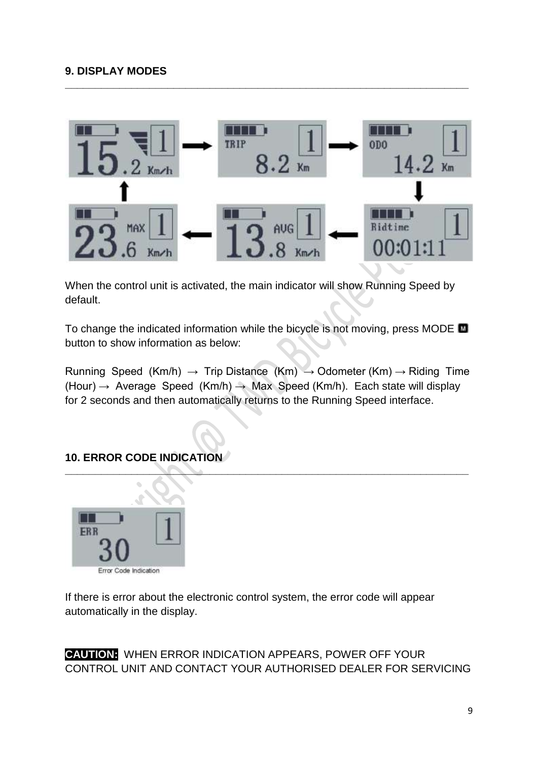

**\_\_\_\_\_\_\_\_\_\_\_\_\_\_\_\_\_\_\_\_\_\_\_\_\_\_\_\_\_\_\_\_\_\_\_\_\_\_\_\_\_\_\_\_\_\_\_\_\_\_\_\_\_\_\_\_\_\_\_\_\_\_\_\_\_\_\_**

When the control unit is activated, the main indicator will show Running Speed by default.

To change the indicated information while the bicycle is not moving, press MODE **To** button to show information as below:

Running Speed (Km/h)  $\rightarrow$  Trip Distance (Km)  $\rightarrow$  Odometer (Km)  $\rightarrow$  Riding Time (Hour)  $\rightarrow$  Average Speed (Km/h)  $\rightarrow$  Max Speed (Km/h). Each state will display for 2 seconds and then automatically returns to the Running Speed interface.

**\_\_\_\_\_\_\_\_\_\_\_\_\_\_\_\_\_\_\_\_\_\_\_\_\_\_\_\_\_\_\_\_\_\_\_\_\_\_\_\_\_\_\_\_\_\_\_\_\_\_\_\_\_\_\_\_\_\_\_\_\_\_\_\_\_\_\_**

# **10. ERROR CODE INDICATION**



If there is error about the electronic control system, the error code will appear automatically in the display.

**CAUTION:** WHEN ERROR INDICATION APPEARS, POWER OFF YOUR CONTROL UNIT AND CONTACT YOUR AUTHORISED DEALER FOR SERVICING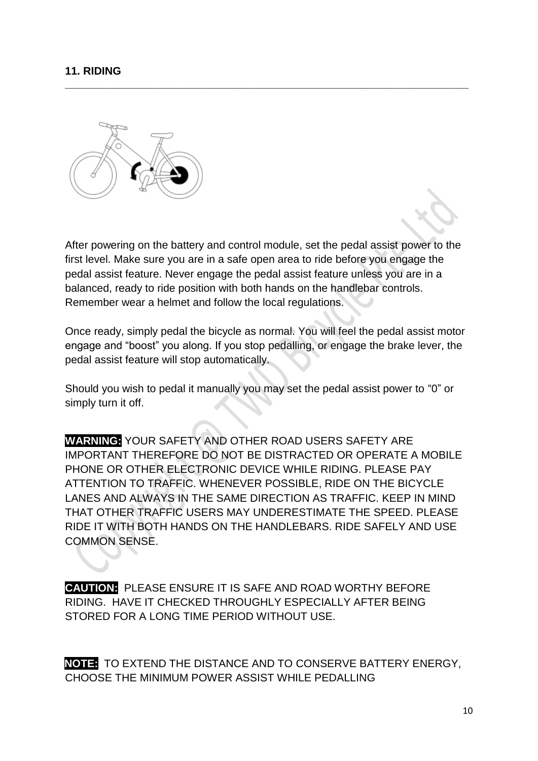#### **11. RIDING**



After powering on the battery and control module, set the pedal assist power to the first level. Make sure you are in a safe open area to ride before you engage the pedal assist feature. Never engage the pedal assist feature unless you are in a balanced, ready to ride position with both hands on the handlebar controls. Remember wear a helmet and follow the local regulations.

**\_\_\_\_\_\_\_\_\_\_\_\_\_\_\_\_\_\_\_\_\_\_\_\_\_\_\_\_\_\_\_\_\_\_\_\_\_\_\_\_\_\_\_\_\_\_\_\_\_\_\_\_\_\_\_\_\_\_\_\_\_\_\_\_\_\_\_**

Once ready, simply pedal the bicycle as normal. You will feel the pedal assist motor engage and "boost" you along. If you stop pedalling, or engage the brake lever, the pedal assist feature will stop automatically.

Should you wish to pedal it manually you may set the pedal assist power to "0" or simply turn it off.

**WARNING:** YOUR SAFETY AND OTHER ROAD USERS SAFETY ARE IMPORTANT THEREFORE DO NOT BE DISTRACTED OR OPERATE A MOBILE PHONE OR OTHER ELECTRONIC DEVICE WHILE RIDING. PLEASE PAY ATTENTION TO TRAFFIC. WHENEVER POSSIBLE, RIDE ON THE BICYCLE LANES AND ALWAYS IN THE SAME DIRECTION AS TRAFFIC. KEEP IN MIND THAT OTHER TRAFFIC USERS MAY UNDERESTIMATE THE SPEED. PLEASE RIDE IT WITH BOTH HANDS ON THE HANDLEBARS. RIDE SAFELY AND USE COMMON SENSE.

**CAUTION:** PLEASE ENSURE IT IS SAFE AND ROAD WORTHY BEFORE RIDING. HAVE IT CHECKED THROUGHLY ESPECIALLY AFTER BEING STORED FOR A LONG TIME PERIOD WITHOUT USE.

**NOTE:** TO EXTEND THE DISTANCE AND TO CONSERVE BATTERY ENERGY, CHOOSE THE MINIMUM POWER ASSIST WHILE PEDALLING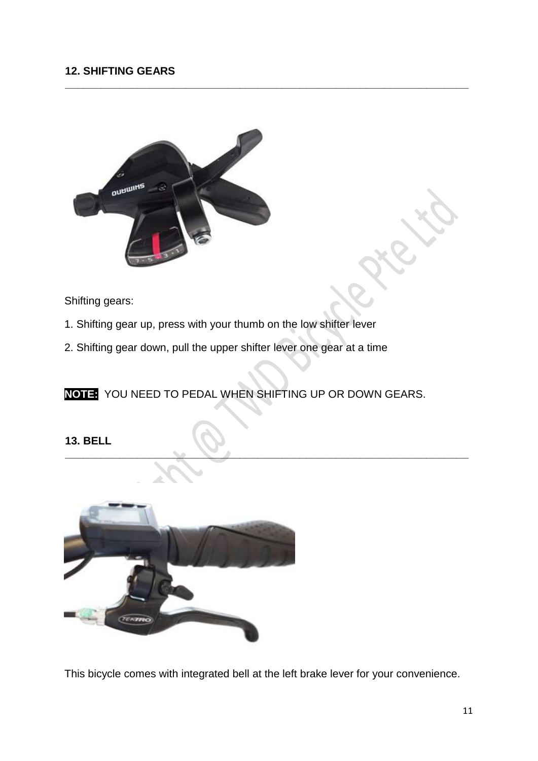## **12. SHIFTING GEARS**



Shifting gears:

- 1. Shifting gear up, press with your thumb on the low shifter lever
- 2. Shifting gear down, pull the upper shifter lever one gear at a time

**NOTE:** YOU NEED TO PEDAL WHEN SHIFTING UP OR DOWN GEARS.

**\_\_\_\_\_\_\_\_\_\_\_\_\_\_\_\_\_\_\_\_\_\_\_\_\_\_\_\_\_\_\_\_\_\_\_\_\_\_\_\_\_\_\_\_\_\_\_\_\_\_\_\_\_\_\_\_\_\_\_\_\_\_\_\_\_\_\_**

**\_\_\_\_\_\_\_\_\_\_\_\_\_\_\_\_\_\_\_\_\_\_\_\_\_\_\_\_\_\_\_\_\_\_\_\_\_\_\_\_\_\_\_\_\_\_\_\_\_\_\_\_\_\_\_\_\_\_\_\_\_\_\_\_\_\_\_**

**13. BELL**



This bicycle comes with integrated bell at the left brake lever for your convenience.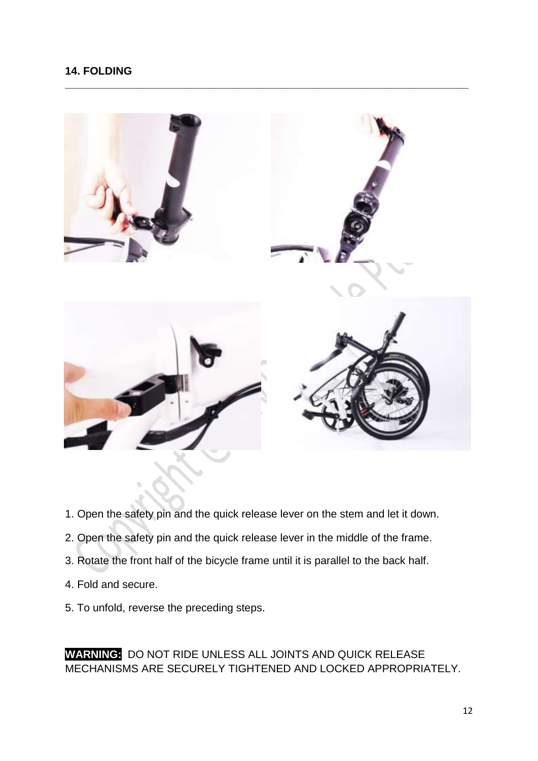## **14. FOLDING**



**\_\_\_\_\_\_\_\_\_\_\_\_\_\_\_\_\_\_\_\_\_\_\_\_\_\_\_\_\_\_\_\_\_\_\_\_\_\_\_\_\_\_\_\_\_\_\_\_\_\_\_\_\_\_\_\_\_\_\_\_\_\_\_\_\_\_\_**

- 1. Open the safety pin and the quick release lever on the stem and let it down.
- 2. Open the safety pin and the quick release lever in the middle of the frame.
- 3. Rotate the front half of the bicycle frame until it is parallel to the back half.
- 4. Fold and secure.
- 5. To unfold, reverse the preceding steps.

**WARNING:** DO NOT RIDE UNLESS ALL JOINTS AND QUICK RELEASE MECHANISMS ARE SECURELY TIGHTENED AND LOCKED APPROPRIATELY.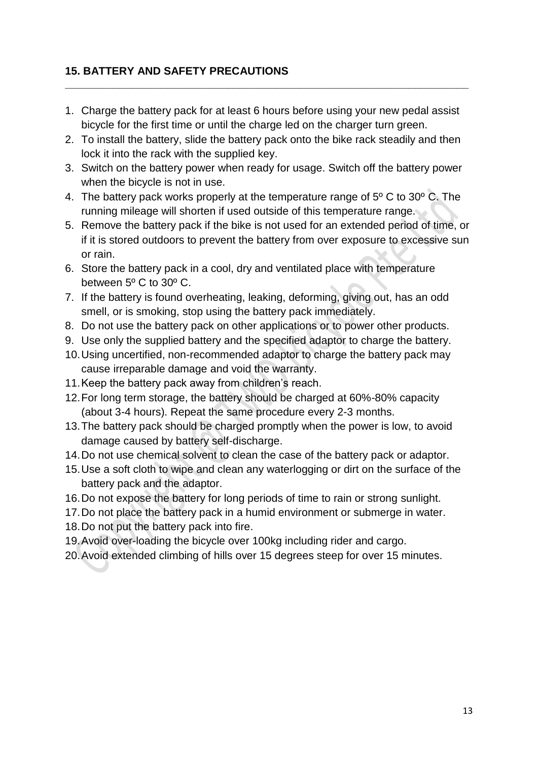# **15. BATTERY AND SAFETY PRECAUTIONS**

1. Charge the battery pack for at least 6 hours before using your new pedal assist bicycle for the first time or until the charge led on the charger turn green.

**\_\_\_\_\_\_\_\_\_\_\_\_\_\_\_\_\_\_\_\_\_\_\_\_\_\_\_\_\_\_\_\_\_\_\_\_\_\_\_\_\_\_\_\_\_\_\_\_\_\_\_\_\_\_\_\_\_\_\_\_\_\_\_\_\_\_\_**

- 2. To install the battery, slide the battery pack onto the bike rack steadily and then lock it into the rack with the supplied key.
- 3. Switch on the battery power when ready for usage. Switch off the battery power when the bicycle is not in use.
- 4. The battery pack works properly at the temperature range of 5º C to 30º C. The running mileage will shorten if used outside of this temperature range.
- 5. Remove the battery pack if the bike is not used for an extended period of time, or if it is stored outdoors to prevent the battery from over exposure to excessive sun or rain.
- 6. Store the battery pack in a cool, dry and ventilated place with temperature between 5º C to 30º C.
- 7. If the battery is found overheating, leaking, deforming, giving out, has an odd smell, or is smoking, stop using the battery pack immediately.
- 8. Do not use the battery pack on other applications or to power other products.
- 9. Use only the supplied battery and the specified adaptor to charge the battery.
- 10.Using uncertified, non-recommended adaptor to charge the battery pack may cause irreparable damage and void the warranty.
- 11.Keep the battery pack away from children's reach.
- 12.For long term storage, the battery should be charged at 60%-80% capacity (about 3-4 hours). Repeat the same procedure every 2-3 months.
- 13.The battery pack should be charged promptly when the power is low, to avoid damage caused by battery self-discharge.
- 14.Do not use chemical solvent to clean the case of the battery pack or adaptor.
- 15.Use a soft cloth to wipe and clean any waterlogging or dirt on the surface of the battery pack and the adaptor.
- 16.Do not expose the battery for long periods of time to rain or strong sunlight.
- 17.Do not place the battery pack in a humid environment or submerge in water.
- 18.Do not put the battery pack into fire.
- 19.Avoid over-loading the bicycle over 100kg including rider and cargo.
- 20.Avoid extended climbing of hills over 15 degrees steep for over 15 minutes.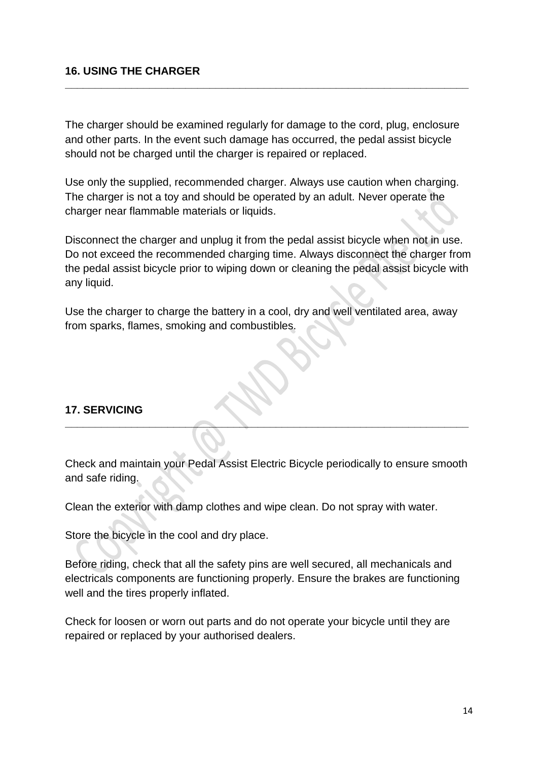#### **16. USING THE CHARGER**

The charger should be examined regularly for damage to the cord, plug, enclosure and other parts. In the event such damage has occurred, the pedal assist bicycle should not be charged until the charger is repaired or replaced.

**\_\_\_\_\_\_\_\_\_\_\_\_\_\_\_\_\_\_\_\_\_\_\_\_\_\_\_\_\_\_\_\_\_\_\_\_\_\_\_\_\_\_\_\_\_\_\_\_\_\_\_\_\_\_\_\_\_\_\_\_\_\_\_\_\_\_\_**

Use only the supplied, recommended charger. Always use caution when charging. The charger is not a toy and should be operated by an adult. Never operate the charger near flammable materials or liquids.

Disconnect the charger and unplug it from the pedal assist bicycle when not in use. Do not exceed the recommended charging time. Always disconnect the charger from the pedal assist bicycle prior to wiping down or cleaning the pedal assist bicycle with any liquid.

Use the charger to charge the battery in a cool, dry and well ventilated area, away from sparks, flames, smoking and combustibles.

## **17. SERVICING**

Check and maintain your Pedal Assist Electric Bicycle periodically to ensure smooth and safe riding.

**\_\_\_\_\_\_\_\_\_\_\_\_\_\_\_\_\_\_\_\_\_\_\_\_\_\_\_\_\_\_\_\_\_\_\_\_\_\_\_\_\_\_\_\_\_\_\_\_\_\_\_\_\_\_\_\_\_\_\_\_\_\_\_\_\_\_\_**

Clean the exterior with damp clothes and wipe clean. Do not spray with water.

Store the bicycle in the cool and dry place.

Before riding, check that all the safety pins are well secured, all mechanicals and electricals components are functioning properly. Ensure the brakes are functioning well and the tires properly inflated.

Check for loosen or worn out parts and do not operate your bicycle until they are repaired or replaced by your authorised dealers.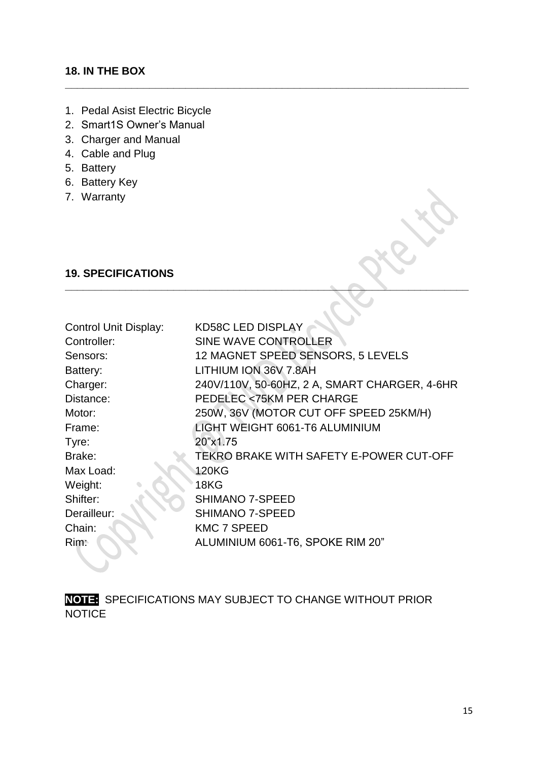## **18. IN THE BOX**

- 1. Pedal Asist Electric Bicycle
- 2. Smart1S Owner's Manual
- 3. Charger and Manual
- 4. Cable and Plug
- 5. Battery
- 6. Battery Key
- 7. Warranty

## **19. SPECIFICATIONS**

| <b>Control Unit Display:</b> | <b>KD58C LED DISPLAY</b>                      |
|------------------------------|-----------------------------------------------|
| Controller:                  | SINE WAVE CONTROLLER                          |
| Sensors:                     | 12 MAGNET SPEED SENSORS, 5 LEVELS             |
| Battery:                     | LITHIUM ION 36V 7.8AH                         |
| Charger:                     | 240V/110V, 50-60HZ, 2 A, SMART CHARGER, 4-6HR |
| Distance:                    | <b>PEDELEC &lt;75KM PER CHARGE</b>            |
| Motor:                       | 250W, 36V (MOTOR CUT OFF SPEED 25KM/H)        |
| Frame:                       | LIGHT WEIGHT 6061-T6 ALUMINIUM                |
| Tyre:                        | 20"x1.75                                      |
| Brake:                       | TEKRO BRAKE WITH SAFETY E-POWER CUT-OFF       |
| Max Load:                    | 120KG                                         |
| Weight:                      | 18KG                                          |
| Shifter:                     | <b>SHIMANO 7-SPEED</b>                        |
| Derailleur:                  | <b>SHIMANO 7-SPEED</b>                        |
| Chain:                       | <b>KMC 7 SPEED</b>                            |
| Rim:                         | ALUMINIUM 6061-T6, SPOKE RIM 20"              |
|                              |                                               |

**\_\_\_\_\_\_\_\_\_\_\_\_\_\_\_\_\_\_\_\_\_\_\_\_\_\_\_\_\_\_\_\_\_\_\_\_\_\_\_\_\_\_\_\_\_\_\_\_\_\_\_\_\_\_\_\_\_\_\_\_\_\_\_\_\_\_\_**

**\_\_\_\_\_\_\_\_\_\_\_\_\_\_\_\_\_\_\_\_\_\_\_\_\_\_\_\_\_\_\_\_\_\_\_\_\_\_\_\_\_\_\_\_\_\_\_\_\_\_\_\_\_\_\_\_\_\_\_\_\_\_\_\_\_\_\_**

**NOTE:** SPECIFICATIONS MAY SUBJECT TO CHANGE WITHOUT PRIOR **NOTICE**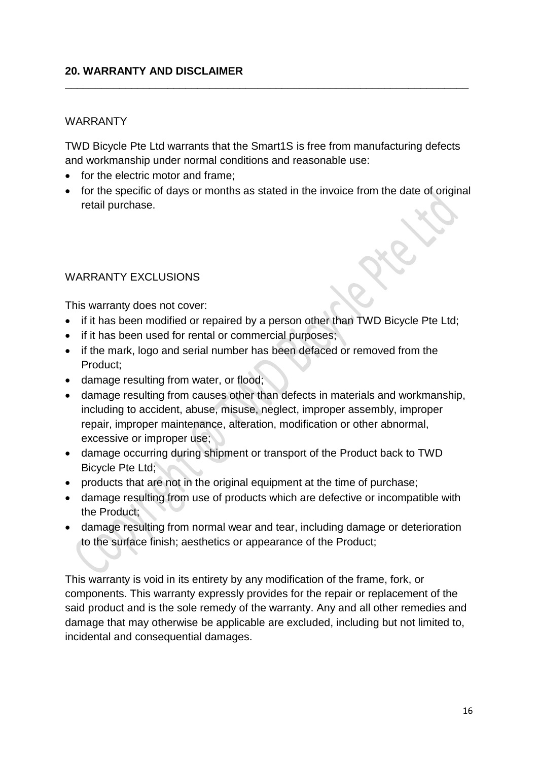## **20. WARRANTY AND DISCLAIMER**

#### WARRANTY

TWD Bicycle Pte Ltd warrants that the Smart1S is free from manufacturing defects and workmanship under normal conditions and reasonable use:

**\_\_\_\_\_\_\_\_\_\_\_\_\_\_\_\_\_\_\_\_\_\_\_\_\_\_\_\_\_\_\_\_\_\_\_\_\_\_\_\_\_\_\_\_\_\_\_\_\_\_\_\_\_\_\_\_\_\_\_\_\_\_\_\_\_\_\_**

- for the electric motor and frame;
- for the specific of days or months as stated in the invoice from the date of original retail purchase.

#### WARRANTY EXCLUSIONS

This warranty does not cover:

- if it has been modified or repaired by a person other than TWD Bicycle Pte Ltd;
- if it has been used for rental or commercial purposes;
- if the mark, logo and serial number has been defaced or removed from the Product;
- damage resulting from water, or flood;
- damage resulting from causes other than defects in materials and workmanship, including to accident, abuse, misuse, neglect, improper assembly, improper repair, improper maintenance, alteration, modification or other abnormal, excessive or improper use;
- damage occurring during shipment or transport of the Product back to TWD Bicycle Pte Ltd;
- products that are not in the original equipment at the time of purchase;
- damage resulting from use of products which are defective or incompatible with the Product;
- damage resulting from normal wear and tear, including damage or deterioration to the surface finish; aesthetics or appearance of the Product;

This warranty is void in its entirety by any modification of the frame, fork, or components. This warranty expressly provides for the repair or replacement of the said product and is the sole remedy of the warranty. Any and all other remedies and damage that may otherwise be applicable are excluded, including but not limited to, incidental and consequential damages.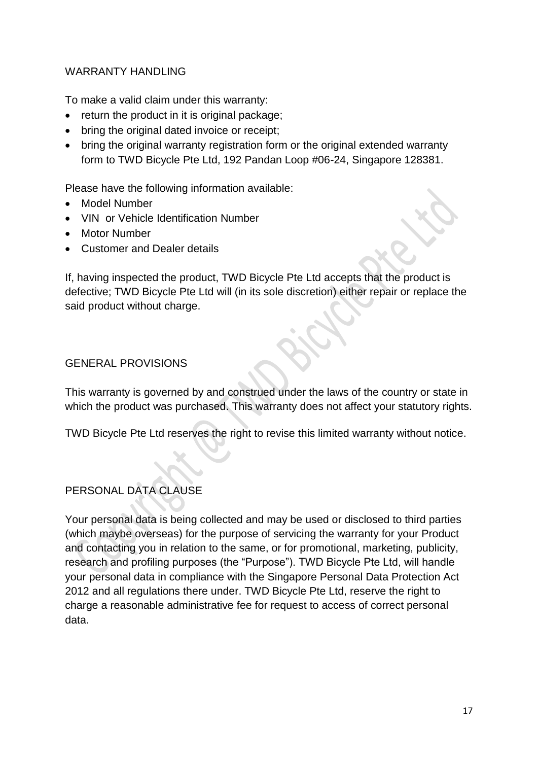## WARRANTY HANDLING

To make a valid claim under this warranty:

- return the product in it is original package:
- bring the original dated invoice or receipt;
- bring the original warranty registration form or the original extended warranty form to TWD Bicycle Pte Ltd, 192 Pandan Loop #06-24, Singapore 128381.

Please have the following information available:

- Model Number
- VIN or Vehicle Identification Number
- Motor Number
- Customer and Dealer details

If, having inspected the product, TWD Bicycle Pte Ltd accepts that the product is defective; TWD Bicycle Pte Ltd will (in its sole discretion) either repair or replace the said product without charge.

## GENERAL PROVISIONS

This warranty is governed by and construed under the laws of the country or state in which the product was purchased. This warranty does not affect your statutory rights.

TWD Bicycle Pte Ltd reserves the right to revise this limited warranty without notice.

# PERSONAL DATA CLAUSE

Your personal data is being collected and may be used or disclosed to third parties (which maybe overseas) for the purpose of servicing the warranty for your Product and contacting you in relation to the same, or for promotional, marketing, publicity, research and profiling purposes (the "Purpose"). TWD Bicycle Pte Ltd, will handle your personal data in compliance with the Singapore Personal Data Protection Act 2012 and all regulations there under. TWD Bicycle Pte Ltd, reserve the right to charge a reasonable administrative fee for request to access of correct personal data.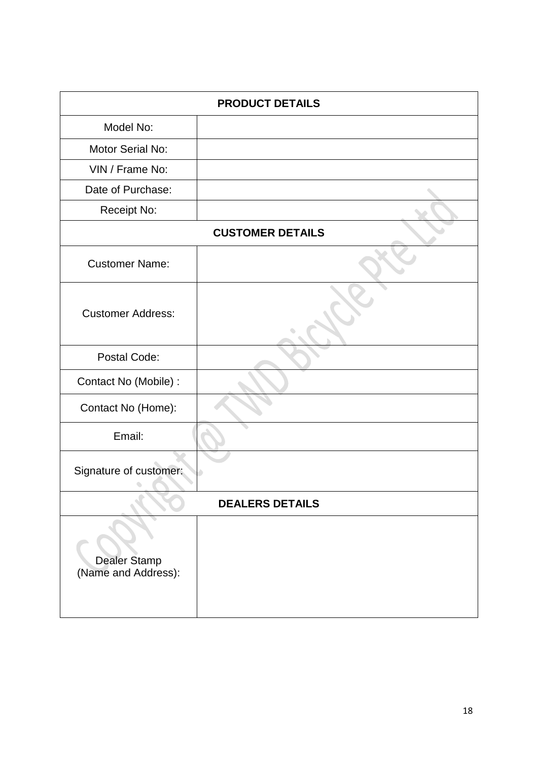| <b>PRODUCT DETAILS</b>                     |  |  |  |  |
|--------------------------------------------|--|--|--|--|
| Model No:                                  |  |  |  |  |
| Motor Serial No:                           |  |  |  |  |
| VIN / Frame No:                            |  |  |  |  |
| Date of Purchase:                          |  |  |  |  |
| Receipt No:                                |  |  |  |  |
| <b>CUSTOMER DETAILS</b>                    |  |  |  |  |
| <b>Customer Name:</b>                      |  |  |  |  |
| <b>Customer Address:</b>                   |  |  |  |  |
| Postal Code:                               |  |  |  |  |
| Contact No (Mobile) :                      |  |  |  |  |
| Contact No (Home):                         |  |  |  |  |
| Email:                                     |  |  |  |  |
| Signature of customer:                     |  |  |  |  |
| <b>DEALERS DETAILS</b>                     |  |  |  |  |
| <b>Dealer Stamp</b><br>(Name and Address): |  |  |  |  |